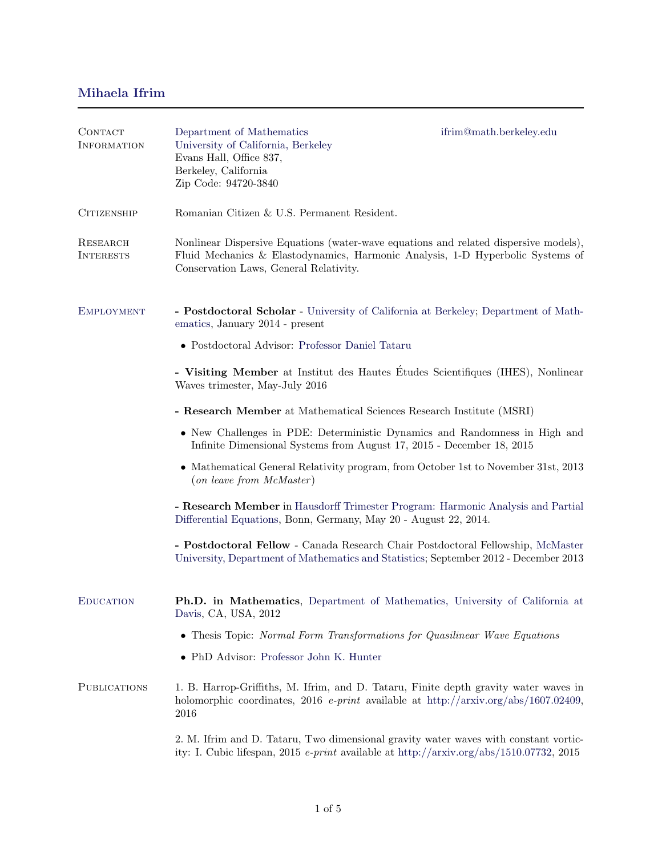## <span id="page-0-0"></span>Mihaela Ifrim

| CONTACT<br><b>INFORMATION</b> | Department of Mathematics<br>University of California, Berkeley<br>Evans Hall, Office 837,<br>Berkeley, California<br>Zip Code: 94720-3840                                                                       | ifrim@math.berkeley.edu                                                                                                                                                            |
|-------------------------------|------------------------------------------------------------------------------------------------------------------------------------------------------------------------------------------------------------------|------------------------------------------------------------------------------------------------------------------------------------------------------------------------------------|
| <b>CITIZENSHIP</b>            | Romanian Citizen & U.S. Permanent Resident.                                                                                                                                                                      |                                                                                                                                                                                    |
| RESEARCH<br><b>INTERESTS</b>  | Nonlinear Dispersive Equations (water-wave equations and related dispersive models),<br>Fluid Mechanics & Elastodynamics, Harmonic Analysis, 1-D Hyperbolic Systems of<br>Conservation Laws, General Relativity. |                                                                                                                                                                                    |
| <b>EMPLOYMENT</b>             | - Postdoctoral Scholar - University of California at Berkeley; Department of Math-<br>ematics, January 2014 - present                                                                                            |                                                                                                                                                                                    |
|                               | • Postdoctoral Advisor: Professor Daniel Tataru                                                                                                                                                                  |                                                                                                                                                                                    |
|                               | - Visiting Member at Institut des Hautes Études Scientifiques (IHES), Nonlinear<br>Waves trimester, May-July 2016                                                                                                |                                                                                                                                                                                    |
|                               | - Research Member at Mathematical Sciences Research Institute (MSRI)                                                                                                                                             |                                                                                                                                                                                    |
|                               | • New Challenges in PDE: Deterministic Dynamics and Randomness in High and<br>Infinite Dimensional Systems from August 17, 2015 - December 18, 2015                                                              |                                                                                                                                                                                    |
|                               | • Mathematical General Relativity program, from October 1st to November 31st, 2013<br>(on leave from McMaster)                                                                                                   |                                                                                                                                                                                    |
|                               | - Research Member in Hausdorff Trimester Program: Harmonic Analysis and Partial<br>Differential Equations, Bonn, Germany, May 20 - August 22, 2014.                                                              |                                                                                                                                                                                    |
|                               |                                                                                                                                                                                                                  | - Postdoctoral Fellow - Canada Research Chair Postdoctoral Fellowship, McMaster<br>University, Department of Mathematics and Statistics; September 2012 - December 2013            |
| <b>EDUCATION</b>              | Ph.D. in Mathematics, Department of Mathematics, University of California at<br>Davis, CA, USA, 2012                                                                                                             |                                                                                                                                                                                    |
|                               | • Thesis Topic: Normal Form Transformations for Quasilinear Wave Equations                                                                                                                                       |                                                                                                                                                                                    |
|                               | • PhD Advisor: Professor John K. Hunter                                                                                                                                                                          |                                                                                                                                                                                    |
| <b>PUBLICATIONS</b>           | 1. B. Harrop-Griffiths, M. Ifrim, and D. Tataru, Finite depth gravity water waves in<br>holomorphic coordinates, 2016 <i>e-print</i> available at http://arxiv.org/abs/1607.02409,<br>2016                       |                                                                                                                                                                                    |
|                               |                                                                                                                                                                                                                  | 2. M. Ifrim and D. Tataru, Two dimensional gravity water waves with constant vortic-<br>ity: I. Cubic lifespan, 2015 $e$ -print available at http://arxiv.org/abs/1510.07732, 2015 |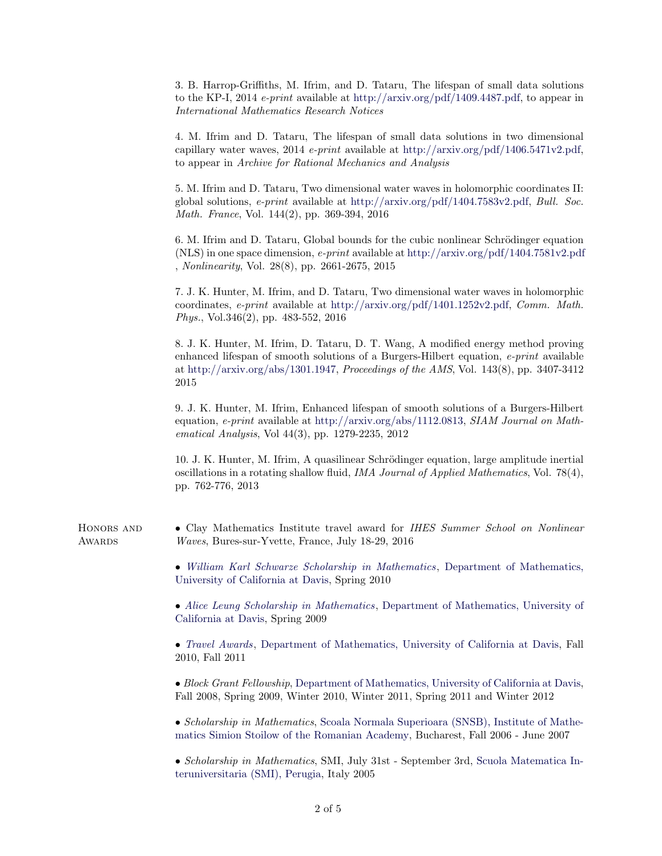3. B. Harrop-Griffiths, M. Ifrim, and D. Tataru, The lifespan of small data solutions to the KP-I, 2014 *e-print* available at [http://arxiv.org/pdf/1409.4487.pdf,](http://arxiv.org/pdf/1409.4487.pdf) to appear in International Mathematics Research Notices

4. M. Ifrim and D. Tataru, The lifespan of small data solutions in two dimensional capillary water waves, 2014 e-print available at [http://arxiv.org/pdf/1406.5471v2.pdf,](http://arxiv.org/pdf/1406.5471v2.pdf) to appear in Archive for Rational Mechanics and Analysis

5. M. Ifrim and D. Tataru, Two dimensional water waves in holomorphic coordinates II: global solutions,  $e\text{-}print$  available at [http://arxiv.org/pdf/1404.7583v2.pdf,](http://arxiv.org/pdf/1404.7583v2.pdf) Bull. Soc. Math. France, Vol. 144(2), pp. 369-394, 2016

6. M. Ifrim and D. Tataru, Global bounds for the cubic nonlinear Schrödinger equation (NLS) in one space dimension, e-print available at <http://arxiv.org/pdf/1404.7581v2.pdf> [,](http://arxiv.org/pdf/1404.7581v2.pdf) Nonlinearity, Vol. 28(8), pp. 2661-2675, 2015

7. J. K. Hunter, M. Ifrim, and D. Tataru, Two dimensional water waves in holomorphic coordinates, e-print available at [http://arxiv.org/pdf/1401.1252v2.pdf,](http://arxiv.org/pdf/1401.1252v2.pdf) Comm. Math. Phys., Vol.346(2), pp. 483-552, 2016

8. J. K. Hunter, M. Ifrim, D. Tataru, D. T. Wang, A modified energy method proving enhanced lifespan of smooth solutions of a Burgers-Hilbert equation, *e-print* available at [http://arxiv.org/abs/1301.1947,](http://arxiv.org/abs/1301.1947) Proceedings of the AMS, Vol. 143(8), pp. 3407-3412 2015

9. J. K. Hunter, M. Ifrim, Enhanced lifespan of smooth solutions of a Burgers-Hilbert equation, e-print available at [http://arxiv.org/abs/1112.0813,](http://arxiv.org/abs/1112.0813) SIAM Journal on Mathematical Analysis, Vol 44(3), pp. 1279-2235, 2012

10. J. K. Hunter, M. Ifrim, A quasilinear Schrödinger equation, large amplitude inertial oscillations in a rotating shallow fluid, *IMA Journal of Applied Mathematics*, Vol. 78(4), pp. 762-776, 2013

HONORS AND • Clay Mathematics Institute travel award for IHES Summer School on Nonlinear AWARDS Waves, Bures-sur-Yvette, France, July 18-29, 2016

> • [William Karl Schwarze Scholarship in Mathematics](https://www.math.ucdavis.edu/grad/financial/award_schol/scholarship_schwarze), [Department of Mathematics,](http://www.math.ucdavis.edu/) [University of California at Davis,](http://www.math.ucdavis.edu/) Spring 2010

> • [Alice Leung Scholarship in Mathematics](http://www.math.ucdavis.edu/grad/financial/award_schol/scholarship_leung), [Department of Mathematics, University of](http://www.math.ucdavis.edu/) [California at Davis,](http://www.math.ucdavis.edu/) Spring 2009

> • *[Travel Awards](http://www.math.ucdavis.edu/grad/financial/conference_travel)*, [Department of Mathematics, University of California at Davis,](http://www.math.ucdavis.edu/) Fall 2010, Fall 2011

> • Block Grant Fellowship, [Department of Mathematics, University of California at Davis,](http://www.math.ucdavis.edu/) Fall 2008, Spring 2009, Winter 2010, Winter 2011, Spring 2011 and Winter 2012

> • Scholarship in Mathematics, [Scoala Normala Superioara \(SNSB\), Institute of Mathe](http://www.imar.ro/~aprodu/snsb/SNSB/index.html)[matics Simion Stoilow of the Romanian Academy,](http://www.imar.ro/~aprodu/snsb/SNSB/index.html) Bucharest, Fall 2006 - June 2007

> • Scholarship in Mathematics, SMI, July 31st - September 3rd, [Scuola Matematica In](http://www.matapp.unimib.it/smi/index.html)[teruniversitaria \(SMI\), Perugia,](http://www.matapp.unimib.it/smi/index.html) Italy 2005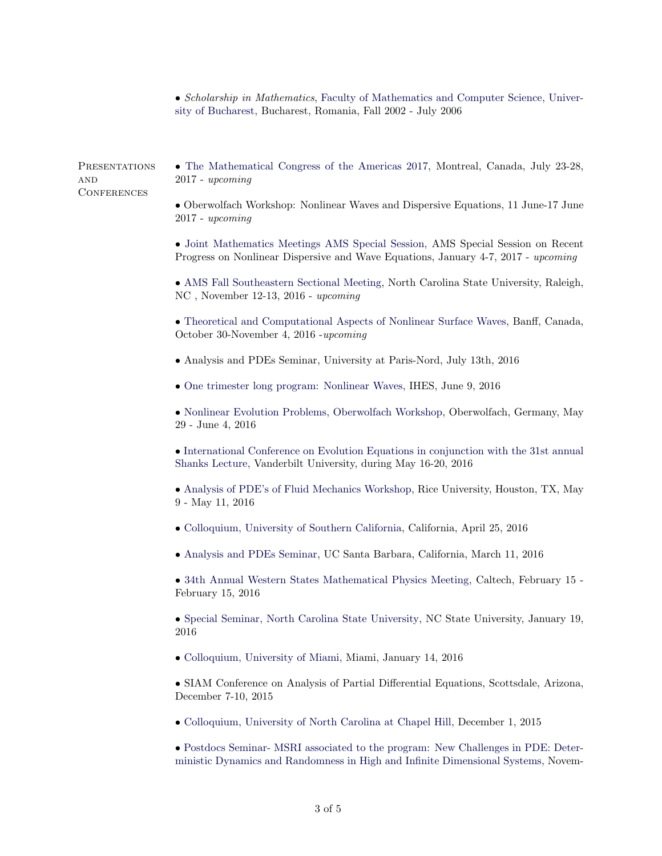• Scholarship in Mathematics, [Faculty of Mathematics and Computer Science, Univer](http://fmi.unibuc.ro/en/)[sity of Bucharest,](http://fmi.unibuc.ro/en/) Bucharest, Romania, Fall 2002 - July 2006

**AND CONFERENCES** 

PRESENTATIONS • [The Mathematical Congress of the Americas 2017,](http://www.mcofamericas.org/) Montreal, Canada, July 23-28, 2017 - upcoming

> • Oberwolfach Workshop: Nonlinear Waves and Dispersive Equations, 11 June-17 June 2017 - upcoming

> • [Joint Mathematics Meetings AMS Special Session,](http://jointmathematicsmeetings.org/meetings/national/jmm2017/2180_program_ss10.html#title) AMS Special Session on Recent Progress on Nonlinear Dispersive and Wave Equations, January 4-7, 2017 - upcoming

> • [AMS Fall Southeastern Sectional Meeting,](http://www.ams.org/meetings/sectional/2241_program.html) North Carolina State University, Raleigh, NC , November 12-13, 2016 - upcoming

> • [Theoretical and Computational Aspects of Nonlinear Surface Waves,](http://www.birs.ca/events/2016/5-day-workshops/16w5112/participants) Banff, Canada, October 30-November 4, 2016 -upcoming

• Analysis and PDEs Seminar, University at Paris-Nord, July 13th, 2016

• [One trimester long program: Nonlinear Waves,](http://www.ihes.fr/jsp/site/Portal.jsp?document_id=3807&portlet_id=1160) IHES, June 9, 2016

• [Nonlinear Evolution Problems, Oberwolfach Workshop,](https://www.mfo.de/occasion/1622/www_view) Oberwolfach, Germany, May 29 - June 4, 2016

• [International Conference on Evolution Equations in conjunction with the 31st annual](https://my.vanderbilt.edu/shanks2016/) [Shanks Lecture,](https://my.vanderbilt.edu/shanks2016/) Vanderbilt University, during May 16-20, 2016

• [Analysis of PDE's of Fluid Mechanics Workshop,](http://math.rice.edu/NewsEvents/Conferences/RecAdvFluids2015/index.html) Rice University, Houston, TX, May 9 - May 11, 2016

- [Colloquium, University of Southern California,](https://dornsife.usc.edu/cams/colloquia-current/) California, April 25, 2016
- [Analysis and PDEs Seminar,](#page-0-0) UC Santa Barbara, California, March 11, 2016

• [34th Annual Western States Mathematical Physics Meeting,](http://www.math.caltech.edu/~mathphysics/ws16.html) Caltech, February 15 - February 15, 2016

• [Special Seminar, North Carolina State University,](https://www.math.ncsu.edu/events/abstract.php?id=3363) NC State University, January 19, 2016

• [Colloquium, University of Miami,](http://www.math.miami.edu/highlights/colloquia/) Miami, January 14, 2016

• SIAM Conference on Analysis of Partial Differential Equations, Scottsdale, Arizona, December 7-10, 2015

• [Colloquium, University of North Carolina at Chapel Hill,](https://math.unc.edu/colloquium-36) December 1, 2015

• [Postdocs Seminar- MSRI associated to the program: New Challenges in PDE: Deter](https://www.msri.org/web/msri/scientific/colloquia-seminars/postdoc-seminars)[ministic Dynamics and Randomness in High and Infinite Dimensional Systems,](https://www.msri.org/web/msri/scientific/colloquia-seminars/postdoc-seminars) Novem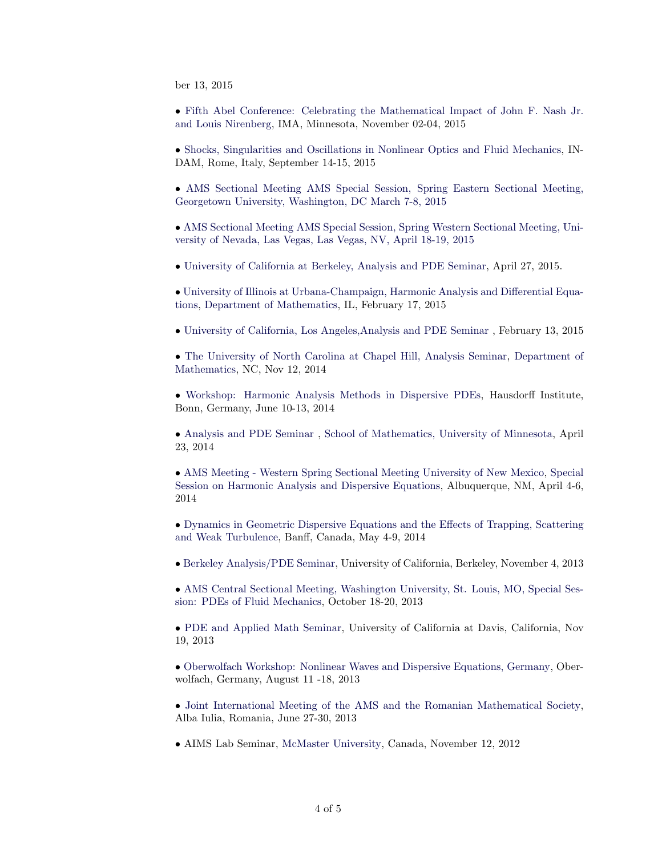ber 13, 2015

• [Fifth Abel Conference: Celebrating the Mathematical Impact of John F. Nash Jr.](http://www.ima.umn.edu/publications/abel-nash-nirenberg.html) [and Louis Nirenberg,](http://www.ima.umn.edu/publications/abel-nash-nirenberg.html) IMA, Minnesota, November 02-04, 2015

• [Shocks, Singularities and Oscillations in Nonlinear Optics and Fluid Mechanics,](http://www.shocks2015.units.it/) IN-DAM, Rome, Italy, September 14-15, 2015

• [AMS Sectional Meeting AMS Special Session, Spring Eastern Sectional Meeting,]( http://www.ams.org/meetings/sectional/2225_program_ss14.html) [Georgetown University, Washington, DC March 7-8, 2015]( http://www.ams.org/meetings/sectional/2225_program_ss14.html)

• [AMS Sectional Meeting AMS Special Session, Spring Western Sectional Meeting, Uni]( http://www.ams.org/meetings/sectional/2218_program_ss12.html#title)[versity of Nevada, Las Vegas, Las Vegas, NV, April 18-19, 2015]( http://www.ams.org/meetings/sectional/2218_program_ss12.html#title)

• [University of California at Berkeley, Analysis and PDE Seminar,]( https://math.berkeley.edu/wp/apde/seminar-schedule-spring-2015/) April 27, 2015.

• [University of Illinois at Urbana-Champaign, Harmonic Analysis and Differential Equa]( http://torus.math.uiuc.edu/cal/math/cal?year=2015&month=02&day=17&interval=day)[tions,]( http://torus.math.uiuc.edu/cal/math/cal?year=2015&month=02&day=17&interval=day) [Department of Mathematics,](https://math.unc.edu/) IL, February 17, 2015

• [University of California, Los Angeles,Analysis and PDE Seminar]( http://papyrus.math.ucla.edu/seminars/show_quarter.php?t=1427180400&type=Analysis) , February 13, 2015

• [The University of North Carolina at Chapel Hill, Analysis Seminar,]( https://math.unc.edu/analysis-seminar-13) [Department of](https://math.unc.edu/) [Mathematics,](https://math.unc.edu/) NC, Nov 12, 2014

• [Workshop: Harmonic Analysis Methods in Dispersive PDEs,](http://www.him.uni-bonn.de/programs/past-programs/past-trimester-programs/harmonic-analysis-2014/workshop-harmonic-analysis-methods-in-dispersive-pdes/) Hausdorff Institute, Bonn, Germany, June 10-13, 2014

• [Analysis and PDE Seminar](http://www2.math.umn.edu/seminar/all/2013//) , [School of Mathematics, University of Minnesota,](www.math.umn.edu) April 23, 2014

• [AMS Meeting - Western Spring Sectional Meeting University of New Mexico,](http://www.ams.org/meetings/sectional/2215_progfull.html) [Special](http://www.ams.org/meetings/sectional/2215_program_saturday.html#2215:SS11B) [Session on Harmonic Analysis and Dispersive Equations,](http://www.ams.org/meetings/sectional/2215_program_saturday.html#2215:SS11B) Albuquerque, NM, April 4-6, 2014

• [Dynamics in Geometric Dispersive Equations and the Effects of Trapping, Scattering](http://www.birs.ca/events/2014/5-day-workshops/14w5080) [and Weak Turbulence,](http://www.birs.ca/events/2014/5-day-workshops/14w5080) Banff, Canada, May 4-9, 2014

• [Berkeley Analysis/PDE Seminar,](http://math.berkeley.edu/~mbeceanu/seminar/) University of California, Berkeley, November 4, 2013

• [AMS Central Sectional Meeting, Washington University, St. Louis, MO, Special Ses](http://www.ams.org/meetings/sectional/2204_program.html)[sion: PDEs of Fluid Mechanics,](http://www.ams.org/meetings/sectional/2204_program.html) October 18-20, 2013

• [PDE and Applied Math Seminar,](https://www.math.ucdavis.edu/research/seminars/?talk_id=3645) University of California at Davis, California, Nov 19, 2013

• [Oberwolfach Workshop: Nonlinear Waves and Dispersive Equations, Germany,](http://www.mfo.de/occasion/1333/www_view) Oberwolfach, Germany, August 11 -18, 2013

• [Joint International Meeting of the AMS and the Romanian Mathematical Society,](http://imar.ro/ams-ro2013/description.php) Alba Iulia, Romania, June 27-30, 2013

• AIMS Lab Seminar, [McMaster University,](http://www.math.mcmaster.ca/talks/details.php?seminar_id=15) Canada, November 12, 2012